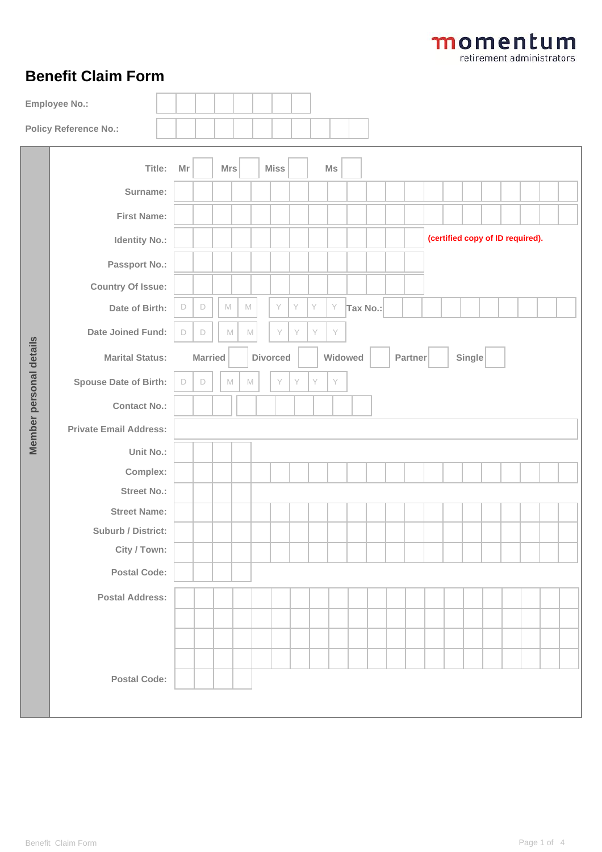## **Benefit Claim Form**

| <b>Employee No.:</b>    |                                |  |                                                                   |        |             |             |                                 |             |   |   |    |          |  |  |  |                                  |  |  |  |  |  |  |  |  |  |  |  |
|-------------------------|--------------------------------|--|-------------------------------------------------------------------|--------|-------------|-------------|---------------------------------|-------------|---|---|----|----------|--|--|--|----------------------------------|--|--|--|--|--|--|--|--|--|--|--|
|                         | <b>Policy Reference No.:</b>   |  |                                                                   |        |             |             |                                 |             |   |   |    |          |  |  |  |                                  |  |  |  |  |  |  |  |  |  |  |  |
|                         | Title:                         |  | Mr                                                                |        | Mrs         |             |                                 | <b>Miss</b> |   |   | Ms |          |  |  |  |                                  |  |  |  |  |  |  |  |  |  |  |  |
|                         | Surname:                       |  |                                                                   |        |             |             |                                 |             |   |   |    |          |  |  |  |                                  |  |  |  |  |  |  |  |  |  |  |  |
|                         | <b>First Name:</b>             |  |                                                                   |        |             |             |                                 |             |   |   |    |          |  |  |  |                                  |  |  |  |  |  |  |  |  |  |  |  |
|                         | <b>Identity No.:</b>           |  |                                                                   |        |             |             |                                 |             |   |   |    |          |  |  |  | (certified copy of ID required). |  |  |  |  |  |  |  |  |  |  |  |
|                         | Passport No.:                  |  |                                                                   |        |             |             |                                 |             |   |   |    |          |  |  |  |                                  |  |  |  |  |  |  |  |  |  |  |  |
|                         | <b>Country Of Issue:</b>       |  |                                                                   |        |             |             |                                 |             |   |   |    |          |  |  |  |                                  |  |  |  |  |  |  |  |  |  |  |  |
|                         | Date of Birth:                 |  | $\mathsf D$                                                       | $\Box$ | $\mathbb M$ | $\mathbb M$ |                                 | Y           | Y | Y | Y  | Tax No.: |  |  |  |                                  |  |  |  |  |  |  |  |  |  |  |  |
|                         | Date Joined Fund:              |  | $\Box$                                                            | $\Box$ | M           | $\mathbb M$ |                                 | Y           | Y | Y | Y  |          |  |  |  |                                  |  |  |  |  |  |  |  |  |  |  |  |
|                         | <b>Marital Status:</b>         |  | Widowed<br><b>Married</b><br><b>Divorced</b><br>Partner<br>Single |        |             |             |                                 |             |   |   |    |          |  |  |  |                                  |  |  |  |  |  |  |  |  |  |  |  |
|                         | <b>Spouse Date of Birth:</b>   |  | $\Box$                                                            | $\Box$ | $\mathbb M$ |             | Y<br>Y<br>Y<br>Y<br>$\mathbb M$ |             |   |   |    |          |  |  |  |                                  |  |  |  |  |  |  |  |  |  |  |  |
|                         | <b>Contact No.:</b>            |  |                                                                   |        |             |             |                                 |             |   |   |    |          |  |  |  |                                  |  |  |  |  |  |  |  |  |  |  |  |
| Member personal details | <b>Private Email Address:</b>  |  |                                                                   |        |             |             |                                 |             |   |   |    |          |  |  |  |                                  |  |  |  |  |  |  |  |  |  |  |  |
|                         | Unit No.:                      |  |                                                                   |        |             |             |                                 |             |   |   |    |          |  |  |  |                                  |  |  |  |  |  |  |  |  |  |  |  |
|                         | Complex:<br><b>Street No.:</b> |  |                                                                   |        |             |             |                                 |             |   |   |    |          |  |  |  |                                  |  |  |  |  |  |  |  |  |  |  |  |
|                         | <b>Street Name:</b>            |  |                                                                   |        |             |             |                                 |             |   |   |    |          |  |  |  |                                  |  |  |  |  |  |  |  |  |  |  |  |
|                         | Suburb / District:             |  |                                                                   |        |             |             |                                 |             |   |   |    |          |  |  |  |                                  |  |  |  |  |  |  |  |  |  |  |  |
|                         | City / Town:                   |  |                                                                   |        |             |             |                                 |             |   |   |    |          |  |  |  |                                  |  |  |  |  |  |  |  |  |  |  |  |
|                         | <b>Postal Code:</b>            |  |                                                                   |        |             |             |                                 |             |   |   |    |          |  |  |  |                                  |  |  |  |  |  |  |  |  |  |  |  |
|                         | <b>Postal Address:</b>         |  |                                                                   |        |             |             |                                 |             |   |   |    |          |  |  |  |                                  |  |  |  |  |  |  |  |  |  |  |  |
|                         |                                |  |                                                                   |        |             |             |                                 |             |   |   |    |          |  |  |  |                                  |  |  |  |  |  |  |  |  |  |  |  |
|                         |                                |  |                                                                   |        |             |             |                                 |             |   |   |    |          |  |  |  |                                  |  |  |  |  |  |  |  |  |  |  |  |
|                         | <b>Postal Code:</b>            |  |                                                                   |        |             |             |                                 |             |   |   |    |          |  |  |  |                                  |  |  |  |  |  |  |  |  |  |  |  |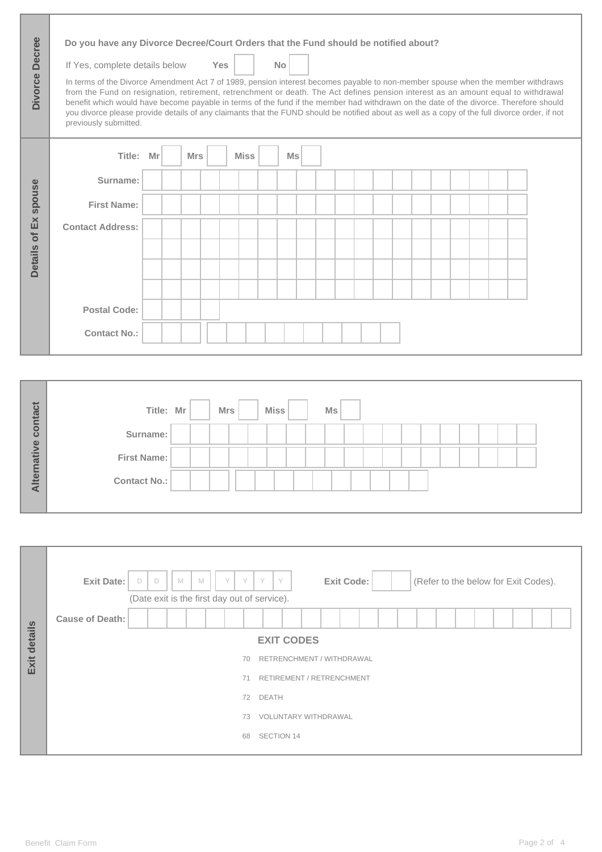| Divorce Decree       | Do you have any Divorce Decree/Court Orders that the Fund should be notified about?<br>If Yes, complete details below<br>In terms of the Divorce Amendment Act 7 of 1989, pension interest becomes payable to non-member spouse when the member withdraws<br>from the Fund on resignation, retirement, retrenchment or death. The Act defines pension interest as an amount equal to withdrawal<br>benefit which would have become payable in terms of the fund if the member had withdrawn on the date of the divorce. Therefore should<br>you divorce please provide details of any claimants that the FUND should be notified about as well as a copy of the full divorce order, if not<br>previously submitted. |           |            | <b>Yes</b>  | <b>No</b>      |                |  |  |  |  |
|----------------------|---------------------------------------------------------------------------------------------------------------------------------------------------------------------------------------------------------------------------------------------------------------------------------------------------------------------------------------------------------------------------------------------------------------------------------------------------------------------------------------------------------------------------------------------------------------------------------------------------------------------------------------------------------------------------------------------------------------------|-----------|------------|-------------|----------------|----------------|--|--|--|--|
|                      | Title:                                                                                                                                                                                                                                                                                                                                                                                                                                                                                                                                                                                                                                                                                                              | Mr        | <b>Mrs</b> | <b>Miss</b> | M <sub>S</sub> |                |  |  |  |  |
|                      | Surname:                                                                                                                                                                                                                                                                                                                                                                                                                                                                                                                                                                                                                                                                                                            |           |            |             |                |                |  |  |  |  |
| Details of Ex spouse | <b>First Name:</b>                                                                                                                                                                                                                                                                                                                                                                                                                                                                                                                                                                                                                                                                                                  |           |            |             |                |                |  |  |  |  |
|                      | <b>Contact Address:</b>                                                                                                                                                                                                                                                                                                                                                                                                                                                                                                                                                                                                                                                                                             |           |            |             |                |                |  |  |  |  |
|                      |                                                                                                                                                                                                                                                                                                                                                                                                                                                                                                                                                                                                                                                                                                                     |           |            |             |                |                |  |  |  |  |
|                      |                                                                                                                                                                                                                                                                                                                                                                                                                                                                                                                                                                                                                                                                                                                     |           |            |             |                |                |  |  |  |  |
|                      | <b>Postal Code:</b>                                                                                                                                                                                                                                                                                                                                                                                                                                                                                                                                                                                                                                                                                                 |           |            |             |                |                |  |  |  |  |
|                      | <b>Contact No.:</b>                                                                                                                                                                                                                                                                                                                                                                                                                                                                                                                                                                                                                                                                                                 |           |            |             |                |                |  |  |  |  |
|                      |                                                                                                                                                                                                                                                                                                                                                                                                                                                                                                                                                                                                                                                                                                                     |           |            |             |                |                |  |  |  |  |
| Alternative contact  |                                                                                                                                                                                                                                                                                                                                                                                                                                                                                                                                                                                                                                                                                                                     | Title: Mr |            | <b>Mrs</b>  | <b>Miss</b>    | M <sub>S</sub> |  |  |  |  |
|                      |                                                                                                                                                                                                                                                                                                                                                                                                                                                                                                                                                                                                                                                                                                                     | Surname:  |            |             |                |                |  |  |  |  |
|                      | <b>First Name:</b>                                                                                                                                                                                                                                                                                                                                                                                                                                                                                                                                                                                                                                                                                                  |           |            |             |                |                |  |  |  |  |
|                      | <b>Contact No.:</b>                                                                                                                                                                                                                                                                                                                                                                                                                                                                                                                                                                                                                                                                                                 |           |            |             |                |                |  |  |  |  |

|              | <b>Exit Date:</b><br><b>Exit Code:</b><br>D<br>Y<br>Y<br>(Refer to the below for Exit Codes).<br>$\Box$<br>M<br>Y<br>V<br>M<br>(Date exit is the first day out of service). |
|--------------|-----------------------------------------------------------------------------------------------------------------------------------------------------------------------------|
|              | <b>Cause of Death:</b>                                                                                                                                                      |
| Exit details | <b>EXIT CODES</b>                                                                                                                                                           |
|              | RETRENCHMENT / WITHDRAWAL<br>70                                                                                                                                             |
|              | RETIREMENT / RETRENCHMENT<br>71                                                                                                                                             |
|              | <b>DEATH</b><br>72                                                                                                                                                          |
|              | <b>VOLUNTARY WITHDRAWAL</b><br>73                                                                                                                                           |
|              | SECTION 14<br>68                                                                                                                                                            |
|              |                                                                                                                                                                             |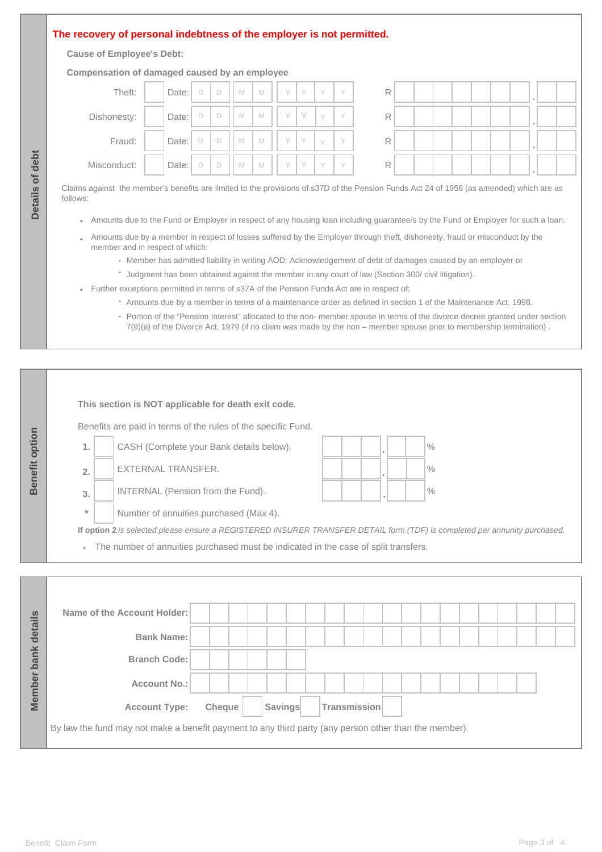## **The recovery of personal indebtness of the employer is not permitted.**

## **Cause of Employee's Debt:**

**Details of debt**

Details of debt

| Theft:      | Date: | D      | D | M | M | $\vee$ | $\vee$ | Y            | Y | R |  |
|-------------|-------|--------|---|---|---|--------|--------|--------------|---|---|--|
| Dishonesty: | Date: | D      | D | M | M | V      | Y      | $\checkmark$ | Y | R |  |
| Fraud:      | Date: | D      | D | M | M | $\vee$ | Y      | Y            | Y | R |  |
| Misconduct: | Date: | $\Box$ | D | M | M | $\vee$ | $\vee$ | Y            | Y | R |  |

- Member has admitted liability in writing AOD: Acknowledgement of debt of damages caused by an employer or **-**
- Judgment has been obtained against the member in any court of law (Section 300/ civil litigation). **-**
- Further exceptions permitted in terms of s37A of the Pension Funds Act are in respect of:
	- Amounts due by a member in terms of a maintenance order as defined in section 1 of the Maintenance Act, 1998. **-**
	- Portion of the "Pension Interest" allocated to the non- member spouse in terms of the divorce decree granted under section 7(8)(a) of the Divorce Act, 1979 (if no claim was made by the non – member spouse prior to membership termination) .

|                       |                                                                                                | This section is NOT applicable for death exit code.                                                                        |               |  |         |  |  |              |  |  |               |  |  |  |  |  |  |
|-----------------------|------------------------------------------------------------------------------------------------|----------------------------------------------------------------------------------------------------------------------------|---------------|--|---------|--|--|--------------|--|--|---------------|--|--|--|--|--|--|
|                       |                                                                                                | Benefits are paid in terms of the rules of the specific Fund.                                                              |               |  |         |  |  |              |  |  |               |  |  |  |  |  |  |
| <b>Benefit option</b> | 1.                                                                                             | CASH (Complete your Bank details below).                                                                                   |               |  |         |  |  |              |  |  | $\%$          |  |  |  |  |  |  |
|                       | 2.                                                                                             | <b>EXTERNAL TRANSFER.</b>                                                                                                  |               |  |         |  |  |              |  |  | $\frac{0}{0}$ |  |  |  |  |  |  |
|                       | 3.                                                                                             | INTERNAL (Pension from the Fund).                                                                                          |               |  |         |  |  |              |  |  | $\frac{0}{0}$ |  |  |  |  |  |  |
|                       | $\star$                                                                                        | Number of annuities purchased (Max 4).                                                                                     |               |  |         |  |  |              |  |  |               |  |  |  |  |  |  |
|                       |                                                                                                | If option 2 is selected please ensure a REGISTERED INSURER TRANSFER DETAIL form (TDF) is completed per annunity purchased. |               |  |         |  |  |              |  |  |               |  |  |  |  |  |  |
|                       | The number of annuities purchased must be indicated in the case of split transfers.<br>$\star$ |                                                                                                                            |               |  |         |  |  |              |  |  |               |  |  |  |  |  |  |
|                       |                                                                                                |                                                                                                                            |               |  |         |  |  |              |  |  |               |  |  |  |  |  |  |
|                       |                                                                                                |                                                                                                                            |               |  |         |  |  |              |  |  |               |  |  |  |  |  |  |
|                       |                                                                                                | Name of the Account Holder:                                                                                                |               |  |         |  |  |              |  |  |               |  |  |  |  |  |  |
| Member bank details   |                                                                                                | <b>Bank Name:</b>                                                                                                          |               |  |         |  |  |              |  |  |               |  |  |  |  |  |  |
|                       |                                                                                                | <b>Branch Code:</b>                                                                                                        |               |  |         |  |  |              |  |  |               |  |  |  |  |  |  |
|                       |                                                                                                | <b>Account No.:</b>                                                                                                        |               |  |         |  |  |              |  |  |               |  |  |  |  |  |  |
|                       |                                                                                                | <b>Account Type:</b>                                                                                                       | <b>Cheque</b> |  | Savings |  |  | Transmission |  |  |               |  |  |  |  |  |  |
|                       |                                                                                                | By law the fund may not make a benefit payment to any third party (any person other than the member).                      |               |  |         |  |  |              |  |  |               |  |  |  |  |  |  |